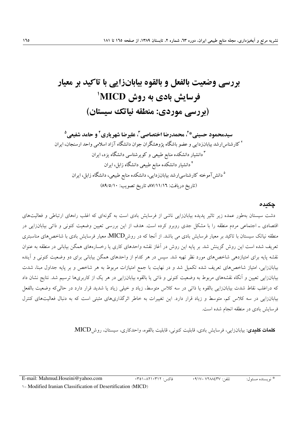# بررسی وضعیت بالفعل و بالقوه بیابانزایی با تاکید بر معیار فرسایش بادی به روش MICD<sup>'</sup> (بررسی موردی: منطقه نیاتک سیستان)

**\***- - - ! "# \$ - 
-- -- -- - \* - -+ % &' (-"  ) - , - % &' (-"  ) - - , - % &' (-"  ) -- -- .+/"\$ (8?/>/5= :;<4 3-4 89/55/56 :12- 3-4)

### چکیدہ

دشت سیستان بهطور عمله زیر تاتیر پدیده بیابانزایی ناشی از فرسایش بادی است به کونهای که اعلب راههای ارتباطی و فعالیتهای افتصادی ـ اجتماعی مردم منطقه را با مشکل جدی روبرو کرده است. هدف از این بررسی تعیین وضعیت کنونی و داتی بیابانزایی در منطقه نیاتک سیستان با تاکید بر معیار فرسایش بادی می باشد. از آنجا که در روشMICD معیار فرسایش بادی با شاخص۵های مناسبتری تعریف شده است این روش کزینش شد. بر پایه این روش در اعاز نفشه واحدهای کاری یا رخسارههای همکن بیابانی در منطقه به عنوان نفشه پایه برای امتیازدهی شاخصهای مورد نظر تهیه شد. سپس در هر دلام از واحدهای همکن بیابانی برای دو وصعیت کنونی و آینده بیابانزایی، امتیاز شاخصهای تعریف شده تکمیل شد و در نهایت با جمع امتیازات مربوط به هر شاخص و بر پایه جداول مبنا، شدت بیابانزایی تعیین و آنکاه نفشههای مربوط به وضعیت کنونی و داتی یا بالفوه بیابانزایی در هر یک از کاربریها ترسیم شد. نتایج نشان داد ده دراعلب تقاط شدت بیابانزایی بالقوه یا دانی در سه کلاس متوسط، زیاد و خیلی زیاد یا شدید قرار دارد در حالی۵۵ وصعیت بالقعل بیابانزایی در سه کلاس کم، متوسط و زیاد فرار دارد. این تغییرات به خاطر اترکداریهای مثبتی است که به دنبال فعالیتهای کنترل قرسایش بادی در منطقه انجام شده است.

**كلمات كليدى**: بيابانزايى، فرسايش بادى، قابليت كنونى، قابليت بالقوه، واحدكارى، سيستان، روشMICD.

تلف: Hollahmud.Hoseini@yahoo.com في المسابق المسابق المستوى المستوى المستوى المستوى المستوى المستوى المستوى ال

\* نويسنده مسئ j

Modified Iranian Classification of Desertification (MICD)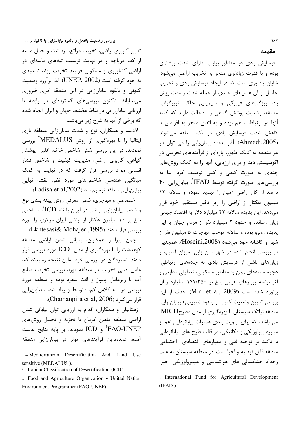تغییر کاربری اراضی، تخریب مراتع، برداشت و حمل ماسه از کف دریاچه و در نهایت ترسیب تپههای ماسهای در اراضی کشاورزی و مسکونی فرآیند تخریب روند تشدیدی به خود گرفته است (UNEP, 2002). لذا برآورد وضعيت کنونی و بالقوه بیابانزایی در این منطقه امری ضروری مینمایاند. تاکنون بررسیهای گستردهای در رابطه با ارزیابی بیابانزایی در نقاط مختلف جهان و ایران انجام شده که برخی از آنها به شرح زیر میباشد:

لادیسا و همکاران، نوع و شدت بیابانزایی منطقه باری ایتالیا را با بهرهگیری از روش MEDALUS<sup>؟</sup> بررسی نمودند. در این بررسی شش شاخص خاک، اقلیم، پوشش گیاهی، کاربری اراضی، مدیریت کیفیت و شاخص فشار انسانی مورد بررسی قرار گرفت که در نهایت به کمک میانگین هندسی شاخصهای مورد نظر، نقشه نهایی بیابان;ایی منطقه ترسیم شد (Ladisa et al,2002).

اختصاصي و مهاجري، ضمن معرفي روش پهنه بندي نوع و شدت بیابانزایی اراضی در ایران با نام ICD<sup>۲</sup>، مساحتی بالغ بر ١٠ ميليون هكتار از اراضى ايران مركزى را مورد بررسی قرار دادند (Ekhtesasi& Mohajeri,1995).

چمن پیرا و همکاران، بیابانی شدن اراضی منطقه کوهدشت را با بهرهگیری از مدل ICD مورد بررسی قرار دادند. نامبردگان در بررسی خود بهاین نتیجه رسیدند که، عامل اصلی تخریب در منطقه مورد بررسی تخریب منابع آب با زیرعامل پمپاژ و افت سفره بوده و منطقه مورد بررسی در سه کلاس کم، متوسط و زیاد شدت بیابانزایی قرار می گیرد (Chamanpira et al, 2006).

زهتابیان و همکاران، اقدام به ارزیابی توان بیابانی شدن اراضی منطقه ماهان کرمان با تجزبه و تحلیل روشهای FAO-UNEP و ICD نمودند. بر پايه نتايج بدست آمده، عمدهترین فرآیندهای موثر در بیابانزایی منطقه مقدمه

166

فرسایش بادی در مناطق بیابانی دارای شدت بیشتری بوده و با قدرت زیادتری منجر به تخریب اراضی می شود. شایان یادآوری است که در ایجاد فرسایش بادی و تخریب حاصل از آن عاملهای چندی از جمله شدت و مدت وزش باد، ویژگیهای فیزیکی و شیمیایی خاک، توپوگرافی منطقه، وضعیت پوشش گیاهی و... دخالت دارند که کلیه آنها در ارتباط با هم بوده و به اتفاق منجر به افزایش یا کاهش شدت فرسایش بادی در یک منطقه می شوند (Ahmadi,2005). آثار یدیده بیابان;ایی را می توان در هر منطقه به کمک ظهور، پارهای از فرآیندهای تخریبی در اکوسیستم دید و برای ارزیابی، آنها را به کمک روش های چندی به صورت کیفی و کمی توصیف کرد. بنا به بررسی های صورت گرفته توسط IFAD'، بیابانزایی ۴۰ درصد از کل اراضی زمین را تهدید نموده و سالانه ١٢ میلیون هکتار از اراضی را زیر تاثیر مستقیم خود قرار می دهد. این پدیده سالانه ۴۲ میلیارد دلار به اقتصاد جهانی زیان رسانده و حدود ٢ میلیارد نفر از مردم جهان با این پدیده روبرو بوده و سالانه موجب مهاجرت ۵ میلیون نفر از شهر و كاشانه خود مي شود (Hoseini,2008). همچنين در بررسی انجام شده در شهرستان زابل، میزان آسیب و زیانهای ناشی از فرسایش بادی به جادههای ارتباطی، هجوم ماسەهای روان به مناطق مسکونی، تعطیلی مدارس و لغو برنامه پروازهای هوایی بالغ بر ۱۷۷/۳۵۰ میلیارد ریال برآورد شده است (Miri et al, 2009). هدف از این بررسی تعیین وضعیت کنونی و بالقوه (طبیعی) بیابان زایی منطقه نیاتک سیستان با بهرهگیری از مدل مطرحMICD می باشد، که برای اولویت بندی عملیات بیابانزدایی اعم از مبارزه بیولوژیکی و مکانیکی، در قالب طرح های بیابانزدایی با تاکید بر توجیه فنی و معیارهای اقتصادی- اجتماعی منطقه قابل توصيه و اجرا است. در منطقه سيستان به علت رخداد خشکسالی های هواشناسی و هیدرولوژیکی اخیر،

Y - Mediterranean Desertification And Land Use sensitive (MEDALUS).

r- Iranian Classification of Desertification (ICD).

 $t$ - Food and Agriculture Organization - United Nation Environment Programmer (FAO-UNEP).

<sup>\-</sup> International Fund for Agricultural Development  $(IFAD)$ .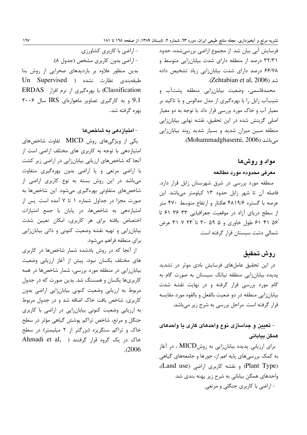فرسایش آبی بیان شد. از مجموع اراضی بررسی شده، حدود ۳۲/۳۱ درصد از منطقه دارای شدت بیابانزایی متوسط و ۶۶/۷۸ درصد دارای شدت بیابانزایی زیاد تشخیص داده شد (Zehtabian et al, 2006).

محمدقاسمی، وضعیت بیابانزایی منطقه پشتآب و شیبآب زابل را با بهرهگیری از مدل مدالوس و با تاکید بر معیار آب و خاک مورد بررسی قرار داد. با توجه به دو معیار اصلی گزینش شده در این تحقیق، نقشه نهایی بیابانزایی منطقه مبین میزان شدید و بسیار شدید روند بیابانزایی می باشد (Mohammadghasemi, 2006).

#### مواد و روشها

#### معرفى محدوده مورد مطالعه

منطقه مورد بررسی در شرق شهرستان زابل قرار دارد. فاصله آن تا شهر زابل حدود ١٣ كيلومتر مي باشد. اين عرصه با گستره ۴۸۱۹/۶ هکتار و ارتفاع متوسط ۴۷۰ متر از سطح دریای آزاد در موقعیت جغرافیایی ۳۳ ۳۶ ۶۱ تا ٔ۵۶ ۴۱ ۶۱ علول خاوری و ۳۵ ۳۰ تا ۲۳ تا ۲۱ عرض شمالی دشت سیستان قرار گرفته است.

#### روش تحقيق

در این تحقیق عاملهای فرسایش بادی موثر در تشدید پدیده بیابانزایی منطقه نیاتک سیستان به صورت گام به گام مورد بررسی قرار گرفته و در نهایت نقشه شدت بیابانزایی منطقه در دو ضعیت بالفعل و بالقوه مورد مقایسه قرار گرفته است. مراحل بررسی به شرح زیر میباشد.

## – تعیین و جداسازی نوع واحدهای کاری یا واحدهای همگن بیابانی

برای ارزیابی پدیده بیابانزایی به روشMICD ، در آغاز به کمک بررسیهای پایه اعم از، جورها و جامعههای گیاهی (Plant Type) و نقشه کاربری اراضی (Land use)، واحدهای همگن بیابانی به شرح زیر پهنه بندی شد. - اراضی با کاربری جنگلی و مرتعی.

- اراضی با کاربری کشاورزی. - اراضي بدون كاربري مشخص (جدول ٨). بدین منظور علاوه بر بازدیدهای صحرایی از روش بنا طبقەبندى نظارت نشدە ( Un Supervised Classification) با بهرهگیری از نرم افزار ERDAS 9.1 و به كاركيرى تصاوير ماهوارهاى IRS سال ٢٠٠۶ ىھرە گرفتە شد.

#### – امتیازدهی به شاخصها

یکی از ویژگیهای روش MICD تفاوت شاخصهای امتیازدهی با توجه به کاربری های مختلف اراضی است از آنجا که شاخصهای ارزیابی بیابانزایی در اراضی زیر کشت با اراضی مرتعی و یا اراضی بدون بهرهگیری متفاوت میباشد در این روش بسته به نوع کاربری اراضی از شاخصهای متفاوتی بهرهگیری میشود. این شاخصها به صورت مجزا در جداول شماره ۱ تا ۷ آمده است. پس از امتیازدهی به شاخصها، در پایان با جمع امتیازات اختصاص یافته برای هر کاربری، امکان تعیین شدت بیابانزایی و تهیه نقشه وضعیت کنونی و ذاتی بیابانزایی برای منطقه فراهم میشود.

از آنجا که در روش یادشده شمار شاخصها در کاربری های مختلف یکسان نبود، پیش از آغاز ارزیابی وضعیت بیابانزایی در منطقه مورد بررسی، شمار شاخصها در همه کاربریها یکسان و همسنگ شد. بدین صورت که در جدول مربوط به ارزیابی وضعیت کنونی بیابانزایی اراضی بدون کاربری، شاخص بافت خاک اضافه شد و در جدول مربوط به ارزیابی وضعیت کنونی بیابانزایی در اراضی با کاربری جنگل و مرتع، شاخص تراکم پوشش گیاهی مؤثر در سطح خاک و تراکم سنگریزه (بزرگتر از ۲ میلیمتر) در سطح خاک در یک گروه قرار گرفتند (Ahmadi et al,  $.2006$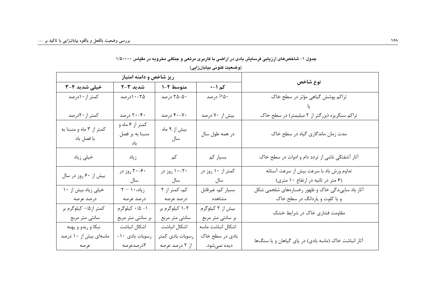|                          |                                      |                  | روصعیت حنونی بیابان(یی) |                                                      |  |
|--------------------------|--------------------------------------|------------------|-------------------------|------------------------------------------------------|--|
| ریز شاخص و دامنه امتیاز  |                                      |                  |                         |                                                      |  |
| خیلی شدید ۴-۳            | شدید ۳-۲                             | متوسط ۲-۱        | کم ۱–∙                  | نوع شاخص                                             |  |
| کمتر از ۱۰درصد           | ۲۵-۱۰درصد                            | ۲۵-۵۰ درصد       | ۵۰– درصد                | تراکم پوشش گیاهی مؤثر در سطح خاک                     |  |
|                          |                                      |                  |                         |                                                      |  |
| کمتر از ۲۰درصد           | ۴۰-۲۰ درصد                           | ۴۰-۲۰ درصد       | بیش از ۷۰ درصد          | تراکم سنگریزه (بزرگتر از ۲ میلیمتر) در سطح خاک       |  |
| کمتر از ۳ ماه و منبنا به | كمتر از ۶ ماه و                      | بیش از ۹ ماه     |                         |                                                      |  |
| با فصل باد               | منبنا به بر فصل<br>باد               | سال              | در همه طول سال          | مدت زمان ماندگاری گیاه در سطح خاک                    |  |
| خیلی زیاد                | زياد                                 | کم               | بسیار کم                | آثار آشفتگی ناشی از تردد دام و ادوات در سطح خاک      |  |
|                          | ۶۰–۲۰ روز در                         | ۲۰–۱۰ روز در     | کمتر از ۱۰ روز در       | تداوم وزش باد با سرعت بيش از سرعت آستانه             |  |
| بیش از ۶۰ روز در سال     | سال                                  | سال              | سال                     | (۶ متر در ثانیه در ارتفاع ۱۰ متری)                   |  |
| خیلی زیاد بیش از ١٠      | $\gamma - \gamma \cdot \alpha$ زیاد، | کم، کمتر از ۲    | بسيار كم، غيرقابل       | أثار باد ساییدگی خاک و ظهور رخسارههای شلجمی شکل      |  |
| درصد عرصه                | درصد عرصه                            | درصد عرصه        | مشاهده                  | و یا کلوت و یاردانگ در سطح خاک                       |  |
| کمتر از ۰/۵ کیلوگرم بر   | ۰۱ - ۱/۰ کیلوگرم                     | ۲-۱ کیلوگرم بر   | بیش از ۲ کیلوگرم        | مقاومت فشاری خاک در شرایط خشک                        |  |
| سانتي متر مربع           | بر سانتی متر مربع                    | سانتي متر مربع   | بر سانتی متر مربع       |                                                      |  |
| نبکا و ربدو و پهنه       | اشكال انباشت                         | اشكال انباشت     | اشكال انباشت ماسه       |                                                      |  |
| ماسهای بیش از ۱۰ درصد    | رسوبات بادی ۱۰-                      | رسوبات بادى كمتر | بادی در سطح خاک         | آثار انباشت خاک (ماسه بادی) در پای گیاهان و یا سنگها |  |
| عرصه                     | <b>۲</b> درصدعرصه                    | از ۲ درصد عرصه   | ديده نميشود.            |                                                      |  |

#### جدول ۱– شاخصهای ارزیابی فرسایش بادی در اراضی با کاربری مرتعی و جنگلی مخروبه در مقیاس ۱/۵۰۰۰۰

 $(A\cup A)$  and  $(A\cup B)$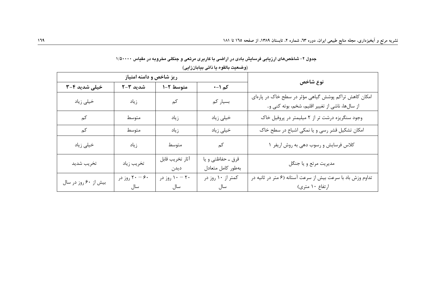|                      | ریز شاخص و دامنه امتیاز |                         |                                        |                                                                                                         |  |
|----------------------|-------------------------|-------------------------|----------------------------------------|---------------------------------------------------------------------------------------------------------|--|
| خیلی شدید ۴-۳        | شدید ۳-۲                | متوسط ۲-۱               | کم ۱−۰                                 | نوع شاخص                                                                                                |  |
| خیلی زیاد            | زياد                    | کم                      | بسیار کم                               | امکان کاهش تراکم پوشش گیاهی مؤثر در سطح خاک در پارهای<br>از سالها، ناشی از تغییر اقلیم، شخم، بوته کنی و |  |
| کم                   | متوسط                   | زياد                    | خیلی زیاد                              | وجود سنگریزه درشت تر از ٢ میلیمتر در پروفیل خاک                                                         |  |
| کم                   | متوسط                   | زياد                    | خیلی زیاد                              | امکان تشکیل قشر رسی و یا نمکی اشباع در سطح خاک                                                          |  |
| خیلی زیاد            | زياد                    | متوسط                   | کم                                     | كلاس فرسايش و رسوب دهي به روش اريفر ١                                                                   |  |
| تخريب شديد           | تخريب زياد              | آثار تخريب قابل<br>ديدن | قرق ـ حفاظتي و يا<br>بهطور كامل متعادل | مديريت مرتع و يا جنگل                                                                                   |  |
| بیش از ۶۰ روز در سال | ۶۰ - ۲۰ روز در<br>سال   | ۲۰ – ۱۰ روز در<br>سال   | کمتر از ۱۰ روز در<br>سال               | تداوم وزش باد با سرعت بیش از سرعت آستانه (۶ متر در ثانیه در<br>ارتفاع ۱۰ متری)                          |  |

|  |  |  |  |  | جدول ۲– شاخصهای ارزیابی فرسایش بادی در اراضی با کاربری مرتعی و جنگلی مخروبه در مقیاس ۱٬۵۰۰۰۰ |
|--|--|--|--|--|----------------------------------------------------------------------------------------------|
|--|--|--|--|--|----------------------------------------------------------------------------------------------|

(وضعيت بالقوه يا ذاتي بيابانزايي)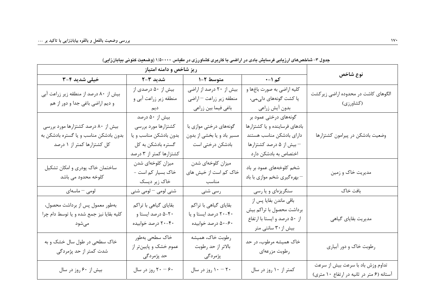| خیلی شدید ۳-۳                                                                                              | شدید ۳–۲                                                                                                        | متوسط ۲-۱                                                                 | کم ۱−۰                                                                                                                                  | نوع شاخص                                                                       |
|------------------------------------------------------------------------------------------------------------|-----------------------------------------------------------------------------------------------------------------|---------------------------------------------------------------------------|-----------------------------------------------------------------------------------------------------------------------------------------|--------------------------------------------------------------------------------|
| بیش از ۸۰ درصد از منطقه زیر زراعت آبی<br>و ديم اراضي باغي جدا و دور از هم                                  | بیش از ۵۰ درصدی از<br>منطقه زیر زراعت آبی و<br>ديم                                                              | بیش از ۲۰ درصد از اراضی<br>منطقه زير زراعت – اراضي<br>باغي فيما بين زراعي | كليه اراضي به صورت باغها و<br>یا کشت گونههای دا <sub>ی</sub> می،<br>بدون أيش زراعي                                                      | الگوهای کاشت در محدوده اراضی زیرکشت<br>(کشاورزی)                               |
| بیش از ۸۰ درصد کشتزارها مورد بررسی<br>بدون بادشکن مناسب و یا گستره بادشکن به<br>کل کشتزارها کمتر از ۱ درصد | بیش از ۵۰ درصد<br>كشتزارها مورد بررسى<br>بدون بادشكن مناسب ويا<br>گستره بادشکن به کل<br>کشتزارها کمتر از ۳ درصد | گونههای درختی موازی با<br>مسیر باد و یا بخشی از بدون<br>بادشکن درختی است  | گونههای درختی عمود بر<br>بادهای فرساینده و یا کشتزارها<br>داراى بادشكن مناسب هستند<br>– بیش از ۵ درصد کشتزارها<br>اختصاص به بادشكن دارد | وضعیت بادشکن در پیرامون کشتزارها                                               |
| ساختمان خاک پودری و امکان تشکیل<br>کلوخه محدود می باشد                                                     | میزان کلوخهای شدن<br>خاک بسیار کم است -<br>خاک زیر دیسک                                                         | میزان کلوخهای شدن<br>خاک کم است از خیش های<br>مناسب                       | شخم کلوخههای عمود بر باد<br>– بهرهگیری شخم موازی با باد                                                                                 | مدیریت خاک و زمین                                                              |
| لومى – ماسەاى                                                                                              | شنی لومی <sup>—</sup> لومی شنی                                                                                  | رسی شنی                                                                   | سنگریزهای و یا رسی                                                                                                                      | بافت خاک                                                                       |
| بهطور معمول پس از برداشت محصول،<br>كليه بقايا نيز جمع شده و يا توسط دام چرا<br>مىشود                       | بقایای گیاهی با تراکم<br>۲۰−۵ درصد ایستا و<br>۴۰-۲۰ درصد خوابیده                                                | بقایای گیاهی با تراکم<br>۴۰-۲۰ درصد ایستا و یا<br>۶۰–۵۰ درصد خوابیده      | باقی ماندن بقایا پس از<br>برداشت محصول با تراكم بيش<br>از ۵۰ درصد و ايستا با ارتفاع<br>بیش از ۳۰ سانتی متر                              | مدیریت بقایای گیاهی                                                            |
| خاک سطحی در طول سال خشک و به<br>شدت کمتر از حد پژمردگی                                                     | خاک سطحی بهطور<br>عموم خشک و پایینتر از<br>حد پژمردگی                                                           | رطوبت خاك، هميشه<br>بالاتر از حد رطوبت<br>پژمردگی                         | خاک همیشه مرطوب، در حد<br>رطوبت مزرعهاى                                                                                                 | رطوبت خاک و دور آبیاری                                                         |
| بیش از ۶۰ روز در سال                                                                                       | ۴۰ - ۲۰ روز در سال                                                                                              | ۲۰ - ۱۰ روز در سال                                                        | کمتر از ۱۰ روز در سال                                                                                                                   | تداوم وزش باد با سرعت بیش از سرعت<br>آستانه (۶ متر در ثانیه در ارتفاع ۱۰ متری) |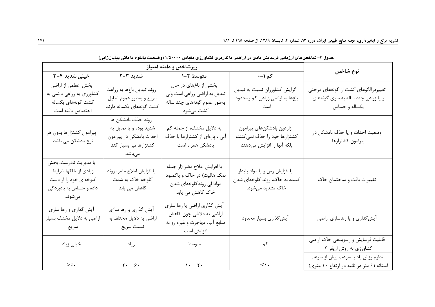| خیلی شدید ۴-۳                                                                                               | شدید ۳–۲                                                                                                     | متوسط ۲-۱                                                                                                  | کم ۱−۰                                                                                  | نوع شاخص                                                                                   |
|-------------------------------------------------------------------------------------------------------------|--------------------------------------------------------------------------------------------------------------|------------------------------------------------------------------------------------------------------------|-----------------------------------------------------------------------------------------|--------------------------------------------------------------------------------------------|
| بخش اعظمي از اراضي<br>کشاورزی به زراعی دائمی به<br>كشت گونههاى يكساله<br>اختصاص يافته است                   | روند تبديل باغها به زراعت<br>سريع و بهطور عموم تمايل<br>کشت گونههای یکساله دارند                             | بخشی از باغهای در حال<br>تبدیل به اراضی زراعی است ولی<br>بەطور عموم گونەھای چند سالە<br>کشت میشود          | گرایش کشاورزان نسبت به تبدیل<br>باغها به اراضی زراعی کم ومحدود<br>است                   | تغییردرالگوهای کشت از گونههای درختی<br>و یا زراعی چند ساله به سوی گونههای<br>يكساله و حساس |
| پیرامون کشتزارها بدون هر<br>نوع بادشکن می باشد                                                              | روند حذف بادشكن ها<br>شديد بوده و يا تمايل به<br>احداث بادشكن در پيرامون<br>کشتزارها نیز بسیار کند<br>مىباشد | به دلایل مختلف، از جمله کم<br>آبی ، پارهای از کشتزارها با حذف<br>بادشكن همراه است                          | زارعين بادشكنهاى پيرامون<br>کشتزارها خود را حذف نمی کنند،<br>بلكه آنها را افزايش مىدهند | وضعيت احداث و يا حذف بادشكن در<br>پيرامون كشتزارها                                         |
| با مديريت نادرست، بخش<br>زیادی از خاکها شرایط<br>کلوخهای خود را از دست<br>داده و حساس به بادبردگی<br>مىشوند | با افزايش املاح مضر، روند<br>کلوخه خاک به شدت<br>کاهش می یابد                                                | با افزایش املاح مضر (از جمله<br>نمک هالیت) در خاک و یاکمبود<br>موادآلي روندكلوخهاى شدن<br>خاک کاهش می یابد | با افزایش رس و یا مواد پایدار<br>کننده به خاک، روند کلوخهای شدن<br>خاک تشدید میشود.     | تغییرات بافت و ساختمان خاک                                                                 |
| أيش گذاري و رها سازي<br>اراضی به دلایل مختلف بسیار<br>سريع                                                  | أيش گذاري و رها سازي<br>اراضي به دلايل مختلف به<br>نسبت سريع                                                 | أيش گذاري اراضي يا رها سازي<br>اراضی به دلایلی چون کاهش<br>منابع آب، مهاجرت و غیره رو به<br>افزايش است     | أيش گذاري بسيار محدود                                                                   | أيش گذاري و يا رهاسازي اراضي                                                               |
| خیلی زیاد                                                                                                   | زياد                                                                                                         | متوسط                                                                                                      | کم                                                                                      | قابلیت فرسایش و رسوبدهی خاک اراضی<br>کشاورزی به روش اریفر ۲                                |
| $>\hspace{-2.1mm}\epsilon.$                                                                                 | $\mathbf{y} \cdot -\mathbf{y} \cdot$                                                                         | $\mathcal{N} - \mathcal{N}$ .                                                                              | $<\, \backslash$ .                                                                      | تداوم وزش باد با سرعت بیش از سرعت<br>آستانه (۶ متر در ثانیه در ارتفاع ۱۰ متری)             |

حدول ۴– شاخص های از زیابی فرسایش بادی در از اضبی با کاربری کشاورزی مقیاس ۱/۵۰۰۰۰ (وضعیت بالقوم با ذاتی بیابان زابی)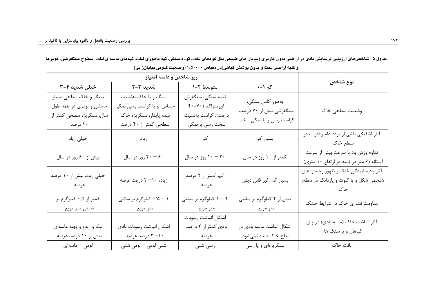| خیلی شدید ۴-۳                                                                           | شدید ۲–۲                                                                                             | متوسط ۲-۱                                                                       | کم ۱–∙                                                                 | نوع شاخص                                                                       |
|-----------------------------------------------------------------------------------------|------------------------------------------------------------------------------------------------------|---------------------------------------------------------------------------------|------------------------------------------------------------------------|--------------------------------------------------------------------------------|
| سنگ و خاک سطحی بسیار<br>حساس و پودری در همه طول<br>سال، سنگریزه سطحی کمتر از<br>۲۰ درصد | سنگ و یا خاک بهنسبت<br>حساس، و یا کراست رسی نمکی<br>نیمه پایدار، سنگریزه خاک<br>سطحی کمتر از ۴۰ درصد | نيمه سنگى، سنگفرش<br>غیرمتراکم (۷۰-۴۰<br>درصد)، كراست بەنسبت<br>سخت رسی یا نمکی | بەطور كامل سنگى،<br>سنگفرشي بيش از ۷۰ درصد،<br>کراست رسی و یا نمکی سخت | وضعيت سطحي خاك                                                                 |
| خیلی زیاد                                                                               | زياد                                                                                                 | کم                                                                              | بسیار کم                                                               | آثار آشفتگی ناشی از تردد دام و ادوات در<br>سطح خاک                             |
| بیش از ۶۰ روز در سال                                                                    | ۴۰ - ۲۰ روز در سال                                                                                   | ۲۰ - ۱۰ روز در سال                                                              | کمتر از ۱۰ روز در سال                                                  | تداوم وزش باد با سرعت بیش از سرعت<br>آستانه (۶ متر در ثانیه در ارتفاع ۱۰ متری) |
| خیلی زیاد، بیش از ۱۰ درصد<br>عرصه                                                       | زیاد، ۱۰–۲ درصد عرصه                                                                                 | کم، کمتر از ۲ درصد<br>عرصه                                                      | بسيار كم، غير قابل ديدن                                                | آثار باد ساییدگی خاک و ظهور رخسارههای<br>شلجمی شکل و یا کلوت و یاردانگ در سطح  |
| کمتر از ۰/۵ کیلوگرم بر<br>سانتي متر مربع                                                | ۰/۵ - ۱ کیلوگرم بر سانتی<br>متر مربع                                                                 | ۲ – ۱ کیلوگرم بر سانتی<br>متر مربع                                              | بیش از ۲ کیلوگرم بر سانتی<br>متر مربع                                  | مقاومت فشاری خاک در شرایط خشک                                                  |
| نبکا و ربدو و پهنه ماسهای<br>بیش از ۱۰ درصد عرصه                                        | اشكال انباشت رسوبات بادى<br>۰۱– ۲ درصد عرصه                                                          | اشكال انباشت رسوبات<br>بادی کمتر از ۲ درصد<br>عرصه                              | اشکال انباشت ماسه بادی در<br>سطح خاک دیده نمیشود                       | آثار انباشت خاک (ماسه بادی) در پای<br>گیاهان و یا سنگ ها                       |
| لومى – ماسەاى                                                                           | شنی لومی – لومی شنی                                                                                  | رسی شنی                                                                         | سنگریزهای و یا رسی                                                     | بافت خاک                                                                       |

جدول ۵– شاخصهای ارزیابی فرسایش بادی در اراضی بدون کاربری (بیابان های طبیعی مثل کومهای لخت، تپه ماهوری لخت، تپههای ماسهای لخت، سطوح سنگفرشی، کویرها و کلیه اراضی لخت و بدون پوشش گیاهی)در مقیاس ۱/۵۰۰۰۰ (وضعیت کنونی بیابانزایی)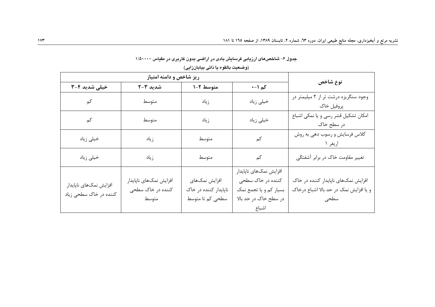| خیلی شدید ۴-۳                                    | شدید ۳-۲                                             | متوسط ۲-۱                                                  | کم ۱–∙                                                                                                  | نوع شاخص                                                                              |
|--------------------------------------------------|------------------------------------------------------|------------------------------------------------------------|---------------------------------------------------------------------------------------------------------|---------------------------------------------------------------------------------------|
| کم                                               | متوسط                                                | زياد                                                       | خیلی زیاد                                                                                               | وجود سنگریزه درشت تر از ۲ میلیمتر در<br>پروفيل خاک                                    |
| كم                                               | متوسط                                                | زياد                                                       | خیلی زیاد                                                                                               | امکان تشکیل قشر رسی و یا نمکی اشباع<br>در سطح خاک                                     |
| خیلی زیاد                                        | زياد                                                 | متوسط                                                      | کم                                                                                                      | كلاس فرسايش و رسوب دهي به روش<br>اريفر ۱                                              |
| خیلی زیاد                                        | زياد                                                 | متوسط                                                      | کم                                                                                                      | تغییر مقاومت خاک در برابر آشفتگی                                                      |
| افزايش نمكهاى ناپايدار<br>کننده در خاک سطحی زیاد | افزايش نمكهاى ناپايدار<br>کننده در خاک سطحی<br>متوسط | افزايش نمكهاى<br>ناپایدار کننده در خاک<br>سطحی کم تا متوسط | افزایش نمکهای ناپایدار<br>کننده در خاک سطحی<br>بسیار کم و یا تجمع نمک<br>در سطح خاک در حد بالا<br>اشباع | افزایش نمکهای ناپایدار کننده در خاک<br>و یا افزایش نمک در حد بالا اشباع درخاک<br>سطحى |

جدول ۶– شاخصهای ارزیابی فرسایش بادی در اراضی بدون کاربری در مقیاس ۱/۵۰۰۰۰

(وضعيت بالقوه يا ذاتي بيابانزايي)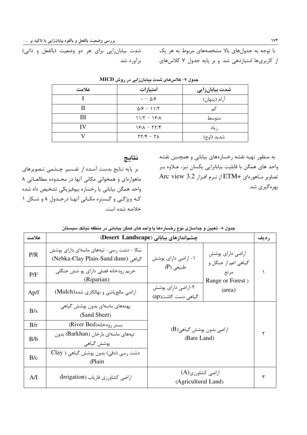شدت بیابانزایی برای هر دو وضعیت (بالفعل و ذاتی)

با توجه به جدولهای بالا مشخصههای مربوط به هر یک از کاربریها امتیازدهی شد. و بر پایه جدول ۷ کلاسهای

| علامت | امتيازات                                 | شدت بیابانزایی |
|-------|------------------------------------------|----------------|
|       | $\cdot - \Delta$ /۶                      | آرام (پنهان)   |
|       | $\Delta$ / $\epsilon$ - 11/ $\tau$       | کم             |
| Ш     | $11/5 - 19/1$                            | متوسط          |
| IV    | $19/1 - 17/9$                            | ز یاد          |
|       | $\gamma \gamma / \gamma - \gamma \gamma$ | شديد (اوج)     |

جدول ۷- کلاسهای شدت بیابانزایی در روش MICD.

#### نتايج

برآورد شد.

بر پایه نتایج بدست آمـده از تفـسیر چـشمی تـصویرهای ماهوارهای و همخوانی مکانی آنها در محـدوده مطالعـاتی ۸ واحد همگن بياباني يا رخساره بيوفيزيكي تشخيص داه شده کـه ویژگـی و گـستره مکـانی آنهـا درجـدول ۸ و شـكل ۱ خلاصه شده است.

به منظور تهیه نقشه رخسارههای بیابانی و همچنین نقشه واحد های همگن با قابلیت بیابانزایی یکسان نیز، عـلاوه بـر تصاوير مـاهورهاى +ETM از نـرم افـزار 3.2 Arc view بهرهگیری شد.

|  |  |  | جدول ۸– تعیین و جداسازی نوع رخسارهها یا واحد های همگن بیابانی در منطقه نیاتک سیستان |
|--|--|--|-------------------------------------------------------------------------------------|
|--|--|--|-------------------------------------------------------------------------------------|

| علامت |                                                                                | چشماندازهای بیابانی (Desert Landscape)             |                                         | رديف |
|-------|--------------------------------------------------------------------------------|----------------------------------------------------|-----------------------------------------|------|
| P/R   | نبکا - دشت رسی- تپههای ماسهای دارای پوشش<br>(Nebka-Clay Plain-Sand dune) كياهي | ۱- اراضی دارای پوشش                                | اراضی دارای پوشش<br>گیاهی اعم از جنگل و |      |
| P/F   | حريم رودخانه فصلي داراي پو شش جنگلي<br>(Riparian)                              | $(P)$ طبیعی                                        | مرتع<br>Range or Forest)                |      |
| Ap/f  | اراضی مالچ پاشی و نهالکاری شده(Mulch)                                          | ۲-اراضی دارای پوشش<br>(area)<br>گیاهی دست کاشت(ap) |                                         |      |
| B/s   | یهنههای ماسهای بدون یوشش گیاهی<br>(Sand Sheet)                                 | $(B)$ اراضی بدون پوشش گیاهی<br>(Bare Land)         |                                         |      |
| B/r   | بستر رودخانه(River Bed)                                                        |                                                    |                                         |      |
| B/b   | تپههای ماسهای بارخان (Barkhan) بدون<br>پوشش گیاهی                              |                                                    |                                         |      |
| B/c   | دشت رسی (دقی) بدون یوشش گیاهی ( Clay<br>(Plain                                 |                                                    |                                         |      |
| A/I   | اراضی کشاورزی فاریاب (Irrigation)                                              | اراضی کشاورزی(A)<br>(Agricultural Land)            |                                         |      |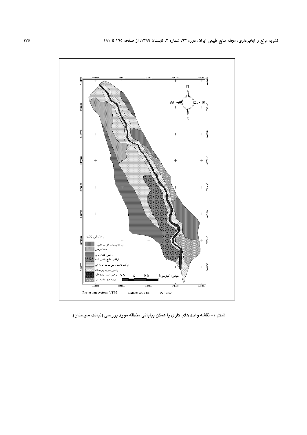

شکل ۱– نقشه واحد های کاری یا همگن بیابانی منطقه مورد بررسی (نیاتک سیستان).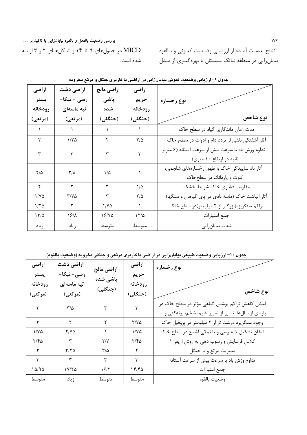نتايج بدسـت آمـده از ارزيـابي وضـعيت كنـوني و بـالقوه بیابانزایی در منطقه نیاتک سیستان با بهرهگیـری از مـدل

| در جدولهای ۹ تا ۱۴ و شـکلهـای ۲ و ۳ ارایـه MICD |  |
|-------------------------------------------------|--|
| ِ شده است.                                      |  |

| اراضى         | اراضی دشت               | اراضي مالچ | اراضى         |                                                   |
|---------------|-------------------------|------------|---------------|---------------------------------------------------|
| بستر          | رسی - نبکا-             | پاشی       | حريم          | نوع رخساره                                        |
| رودخانه       | تپه ماسهای              | شده        | رودخانه       |                                                   |
| (مرتعى)       | (مرتعى)                 | (جنگلی)    | (جنگلی)       | نوع شاخص                                          |
|               |                         |            |               | مدت زمان ماندگاری گیاه در سطح خاک                 |
| ۲             | ۱۱۲۵                    | ٢          | $\frac{8}{2}$ | آثار آشفتگی ناشی از تردد دام و ادوات در سطح خاک   |
| ٣             | ٣                       | ٣          | ٣             | تداوم وزش باد با سرعت بيش از سرعت آستانه (۶ متربر |
|               |                         |            |               | ثانیه در ارتفاع ۱۰ متری)                          |
| $\frac{8}{2}$ | $\mathsf{Y}/\mathsf{Y}$ | ۱۵         |               | آثار باد ساییدگی خاک و ظهور رخسارههای شلجمی،      |
|               |                         |            |               | کلوت و یاردانگ در سطحخاک                          |
| ٢             | ۲                       | ٣          | $1/\Delta$    | مقاومت فشارى خاك شرايط خشك                        |
| $1/Y\Delta$   | $Y/Y\Delta$             | ٣          | ۲/۵           | آثار انباشت خاک (ماسه بادی در پای گیاهان و سنگها) |
| 1/70          | ٢                       | ۱۱۷۵       | \.            | تراکم سنگریزه(بزرگتر از ۲ میلیمتر)در سطح خاک      |
| 17/2          | ۱۶/۸                    | ۱۶/۷۵      | ۱۲/۵          | جمع امتيازات                                      |
| زياد          | زياد                    | متوسط      | متوسط         | شدت بیابانزایی                                    |

جدول ۹– ارزیابی وضعیت کنونی بیابانزایی در اراضی با کاربری جنگل و مرتع مخروبه

جدول ۱۰–ارزیابی وضعیت طبیعی بیابانزایی در اراضی با کاربری مرتعی و جنگلی مخروبه (وضعیت بالقوه)

| اراضى        | اراضی دشت     | اراضى مالچ                        | اراضى        | نوع رخساره                                            |
|--------------|---------------|-----------------------------------|--------------|-------------------------------------------------------|
| يستر         | رسی- نبکا-    | پاشی شده                          | حريم         |                                                       |
| رودخانه      | تپه ماسهای    |                                   | رودخانه      |                                                       |
| (مرتعى)      | (مرتعى)       | (جنگلی)                           | (جنگلی)      | نوع شاخص                                              |
| $\mathbf{r}$ | $\tau/\Delta$ | ٣                                 | $\mathbf{r}$ | امکان کاهش تراکم پوشش گیاهی مؤثر در سطح خاک در        |
|              |               |                                   |              | پارهای از سالها، ناشی از تغییر اقلیم، شخم، بوتهکنی و… |
| ٣            | ۲             | ۲                                 | $Y/Y\Delta$  | وجود سنگریزه درشت تر از ۲ میلیمتر در پروفیل خاک       |
| $1/Y\Delta$  | 71 V A        |                                   | $1/Y\Delta$  | امکان تشکیل لایه رسی و یا نمکی اشباع در سطح خاک       |
| ۲/۴۵         | ٣             | Y/Y                               | ۲/۴۵         | کلاس فرسایش و رسوب دهی به روش اریفر ۱                 |
| ٣            | ۳/۲۵          | $\mathsf{r}\prime\mathsf{\Delta}$ | ٢            | مديريت مرتع و يا جنگل                                 |
| ٣            | ٣             | ٣                                 | ٣            | تداوم وزش باد با سرعت بيش از سرعت آستانه              |
| ۱۵/۹۵        | ۱۷/۲۵         | 1812                              | ۱۴/۴۵        | جمع امتيازات                                          |
| متوسط        | زياد          | متوسط                             | متوسط        | وضعيت بالقوه                                          |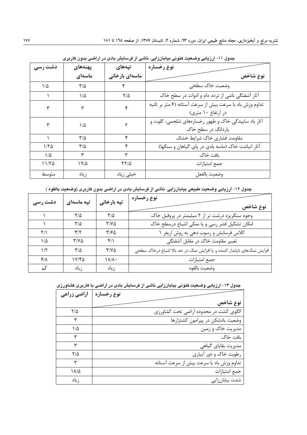| دشت رسی | پهنەهاي                 | تپەھاي         | نوع رخساره                                                                     |
|---------|-------------------------|----------------|--------------------------------------------------------------------------------|
|         | ماسەاي                  | ماسەاي بارخانى | نوع شاخص                                                                       |
| ۱/۵     | $\mathbf{r}/\mathbf{r}$ | ۴              | وضعيت خاک سطحي                                                                 |
|         | ۱/۵                     | $7/\Delta$     | آثار آشفتگی ناشی از تردد دام و ادوات در سطح خاک                                |
| ٣       | ٣                       | ۴              | تداوم وزش باد با سرعت بيش از سرعت آستانه (۶ متر بر ثانيه<br>در ارتفاع ۱۰ متری) |
|         | $1/\Delta$              | ۲              | آثار باد ساییدگی خاک و ظهور رخسارههای شلجمی، کلوت و<br>یاردانگ در سطح خاک      |
|         | ۳۱۵                     | ۴              | مقاومت فشارى خاك شرايط خشك                                                     |
| ۱/۲۵    | $\mathsf{r}/\mathsf{a}$ | ۴              | آثار انباشت خاک (ماسه بادی در پای گیاهان و سنگها)                              |
| ۱/۵     | ٣                       | ٣              | بافت خاک                                                                       |
| ۱۱/۲۵   | ۱۹/۵                    | 7715           | جمع امتيازات                                                                   |
| متوسط   | ز ياد                   | خیلی زیاد      | وضعيت بالفعل                                                                   |

جدول ۱۱-ارزیابی وضعیت کنونی بیابانزایی، ناشی از فرسایش بادی در اراضی بدون کاربری

جدول ۱۲–ارزیابی وضعیت طبیعی بیابانزایی، ناشی از فرسایش بادی در اراضی بدون کاربری (وضعیت بالقوه )

| دشت رسی     | تپه ماسهای                        | تپه بارخانی                       | نوع رخساره<br>نوع شاخص                                                   |
|-------------|-----------------------------------|-----------------------------------|--------------------------------------------------------------------------|
|             | $\mathsf{r}\prime\mathsf{\Delta}$ | $\mathsf{r}\prime\mathsf{\Delta}$ | وجود سنگریزه درشت تر از ۲ میلیمتر در پروفیل خاک                          |
|             | ۳/۵                               | $Y/Y\Delta$                       | امکان تشکیل قشر رسی و یا نمکی اشباع درسطح خاک                            |
| Y/1         | $\mathbf{y}^{\prime}$             | ۳۱۶۵                              | كلاس فرسايش و رسوب دهي به روش اريفر                                      |
| ۱۵          | $Y/Y\Delta$                       | $f/\lambda$                       | تغییر مقاومت خاک در مقابل آشفتگی                                         |
| $1/\zeta$   | ۳/۵                               | $Y/Y\Delta$                       | افزایش نمکهای ناپایدار کننده و یا افزایش نمک در حد بالا اشباع درخاک سطحی |
| $8/\lambda$ | ۱۷/۴۵                             | ۱۸/۸۰                             | جمع امتيازات                                                             |
| کم          | ز یاد                             | ز یاد                             | وضعيت بالقوه                                                             |

جدول ۱۳- ارزیابی وضعیت کنونی بیابانزایی ناشی از فرسایش بادی در اراضی با کاربری کشاورزی

| اراضی زراعی   | نوع رخساره                               |
|---------------|------------------------------------------|
|               | نوع شاخص                                 |
| $7/\Delta$    | الگوی کشت در محدوده اراضی تحت کشاورزی    |
| ٣             | وضعیت بادشکن در پیرامون کشتزارها         |
| ۱۵            | مدیریت خاک و زمین                        |
| ۳             | بافت خاک                                 |
| ٣             | مدیریت بقایای گیاهی                      |
| $\frac{1}{2}$ | رطوبت خاک و دور آبیاری                   |
| ۳             | تداوم وزش باد با سرعت بيش از سرعت آستانه |
| ۱۸/۵          | جمع امتيازات                             |
| ز یاد         | شدت بیابانزایی                           |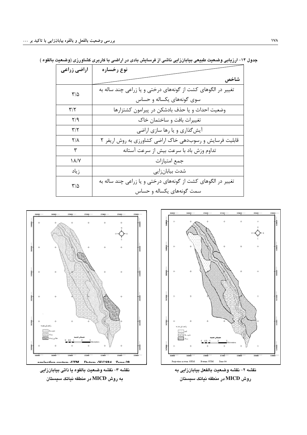| اراضی زراعی             | نوع رخساره                                                   |
|-------------------------|--------------------------------------------------------------|
|                         | شاخص                                                         |
| $\mathbf{r}/\mathbf{r}$ | تغییر در الگوهای کشت از گونههای درختی و یا زراعی چند ساله به |
|                         | سوی گونههای یکساله و حساس                                    |
| $\mathbf{y}/\mathbf{x}$ | وضعیت احداث و یا حذف بادشکن در پیرامون کشتزارها              |
| Y/9                     | تغییرات بافت و ساختمان خاک                                   |
| $\mathbf{y}/\mathbf{x}$ | آیشگذاری و یا رها سازی اراضی                                 |
| ۲۱۸                     | قابلیت فرسایش و رسوبدهی خاک اراضی کشاورزی به روش اریفر ۲     |
| ٣                       | تداوم وزش باد با سرعت بيش از سرعت آستانه                     |
| ۱۸/۷                    | جمع امتيازات                                                 |
| ز یاد                   | شدت بيابانزايي                                               |
| $\mathsf{r}/\mathsf{a}$ | تغییر در الگوهای کشت از گونههای درختی و یا زراعی چند ساله به |
|                         | سمت گونههای یکساله و حساس                                    |

جدول ۱۴–ارزیابی وضعیت طبیعی بیابانزایی ناشی از فرسایش بادی در اراضی با کاربری کشاورزی (وضعیت بالقوه )



نقشه ٣- نقشه وضعيت بالقوه يا ذاتي بيابانزايي به روش MICD در منطقه نیاتک سیستان



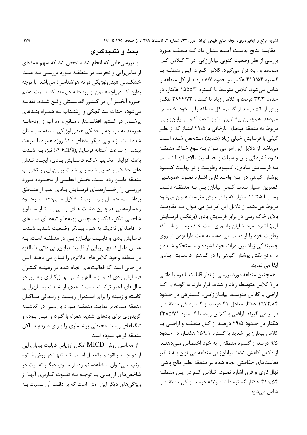مقایسه نتایج بدست آمده نـشان داد کـه منطقـه مـورد بررسی از نظر وضعیت کنونی بیابانزایی، در ۳ کلاس کم، متوسط و زیاد قرار میگیرد. کلاس کم در ایـن منطقـه بـا گستره ۴۱۹/۵۴ هکتار در حدود ۸/۷ درصد از کل منطقه را شامل می شود. کلاس متوسط با گستره ۱۵۵۵/۳ هکتار، در حدود ۳۲/۳ درصد و کلاس زیاد با گستره ۲۸۴۴/۷۳ هکتار بیش از ۵۹ درصد از گستره کل منطقه را به خود اختصاص می دهد. همچنین بیشترین امتیاز شدت کنونی بیابان زایی، مربوط به منطقه تپههای بارخانی با ۲۲/۵ امتیاز که از نظـر كيفي با فرسايش خيلي زياد (شديد) مـشخص شـده اسـت میباشد. از دلایل این امر می تـوان بـه نـوع خـاک منطقـه (نبود فشردگی رس و سیلت و حساسیت بالای آنهـا نـسبت بـه فرسـايش بـادي)، كمبـود رطوبـت و در نهايـت كمبـود پوشش گیاهی در ایـن واحـدکاری اشـاره نمـود. همچنـین کمترین امتیاز شدت کنونی بیابانزاییی به منطقه دشت رسی با ۱۱/۲۵ امتیاز که با فرسایش متوسط عنوان میشود مربوط می باشد. از دلایل این امر نیز می تـوان بـه مقاومـت بالای خاک رسی در برابر فرسایش بادی (برعکس فرسـایش آبی) اشاره نمود. شایان یادآوری است خاک رسی زمانی که رطوبت خود را از دست می دهد، به علت دارا بودن نیـروی چسبندگی زیاد بین ذرات خود فشرده و مـستحکم شـده و در واقع نقش پوشش گیاهی را در کاهش فرسایش بادی ایفا مے نماید.

همچنین منطقه مورد بررسی از نظر قابلیت بالقوه یا ذاتـی در۳ کلاس متوسط، زیاد و شدید قرار دارد. به گونـهای کـه اراضی با کلاس متوسط بیابانزایی، گسترهی در حدود ۱۹۷۴/۸۴ هکتار معادل ۴۱ درصد از گستره کل منطقه را در بر می گیرند. اراضی با کلاس زیاد، با گستره ۲۳۸۵/۷۱ هکتار در حـدود ۴۹/۵ درصـد از کـل منطقـه و اراضـی بـا کلاس بیابانزایی شدید با گستره ۴۵۹/۱ هکتـار، در حـدود ۹/۵ درصد از گستره منطقه را به خود اختصاص مــ دهنــد. از دلایل کاهش شدت بیابان;ایی منطقه می توان بـه تـاثیر فعالیتهای حفاظتی انجام شده در منطقه نظیر مالچ پاشی، نهال کاری و قرق اشاره نمـود. کـلاس کـم در ايـن منطقـه ۴۱۹/۵۴ هکتار گستره داشته و۸/۷ درصد از کل منطقه را شامل می شود.

#### بحث و نتيجهگيري

با بررسی هایی که انجام شد مشخص شد که سهم عمدهای از بیابانزایی و تخریب در منطقـه مـورد بررسـی بـه علـت خشکسالی هیدرولوژیکی (و نه هواشناسی) میباشد. با توجه بهاین که دریاچههامون از رودخانه هیرمند که قسمت اعظم حــوزه آبخيــز آن در كــشور افغانــستان واقــع شــده، تغذيــه می شود، احداث سد کجکی و ارغنـداب بـه همـراه بنـدهای پرشــمار در كــشور افغانــستان، مــانع ورود آب از رودخانــه هیرمند به دریاچه و خشکی هیدرولوژیکی منطقه سیـستان شده است. از سویی دیگر بادهای ۱۲۰ روزه همراه با سرعت بیشتر از سرعت آستانه فرسایش(۶m/s <) نیز، بـه شـدت باعث افزايش تخريب خاك، فرسـايش بـادي، ايجـاد تـنش های خشکی و دمایی شده و بر شدت بیابانزایی و تخریب منطقه دامـن زده اسـت. بخـش اعظمـى از محـدوده مـورد بررسـی را رخـسارههـای فرسـایش بـادی اعـم از منـاطق برداشـت، حمــل و رســوب تــشكيل مــىدهنــد. وجــود رخسارههایی همچـون دشـت هـای رسـی بـا آثـار سـطوح شلجمي شكل، نبكا، و همچنين پهنهها و تپههـاي ماسـهاي در فاصلهای نزدیک به هـم، بیـانگر وضـعیت شـدید شـدت فرسایش بادی و قابلیت بیابـانزایـی در منطقـه اسـت. بـه همین دلیل نتایج ارزیابی از قابلیت بیابانزایی ذاتی یا بالقوه در منطقه وجود کلاسهای بالاتری را نشان می دهـد. ایـن در حالی است که فعالیتهای انجام شده در زمینـه کنتـرل فرسایش بادی اعــم از مــالچ پاشــی، نهــال کــاری و قــرق در سالهای اخیر توانسته است تا حدی از شـدت بیابـانزایـی کاسته و زمینه را برای استمرار زیست و زنـدگی سـاکنان منطقه مساعدتر نمایـد. منطقـه مـورد بررسـی در گذشـته کریدوری برای بادهای شدید همراه با گـرد و غبـار بـوده و تنگناهای زیست محیطی پرشـماری را بـرای مـردم سـاکن منطقه فراهم نموده است.

از محاسن روش MICD امکان ارزیابی قابلیت بیابانزایی از دو جنبه بالقوه و بالفعـل اسـت كـه تنهـا در روش فـائو-یونپ میتوان مشاهده نمـود، از سـوی دیگـر تفـاوت در شاخصهای ارزیـابی بـا توجـه بـه تفـاوت کـاربری آنهـا از ویژگیهای دیگر این روش است که بر دقت آن نـسبت بـه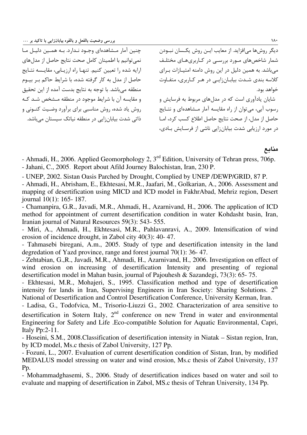…  
 ;

حنين آمار ميشاهدهاي وجـود نبدارد. بـه هميين دليبان مبا .<br>نمي توانيم با اطمينان كامل صحت نتايج حاصل از مدل هاي ارایه شده را تعیین کنیم. تنها راه ارزبایی، مقایسه نتبایج حاصل از مدل به کار گرفته شده، با شرایط حاکم بـر بیـوم منطقه می باشد. با توجه به نتایج بدست آمده از این تحقیق و مقايسه آن با شرايط موجود در منطقه مـشخص شـد كـه . وش باد شده، روش مناسب برای برآورد وضببت کنیونی و .<br>ذاتی شدت بیابان این در منطقه نباتک سیستان میباشد.

دیگ روش ها می افزاید. از معایب این روش یکسیان نیپودن شمار شاخص ها*ی م*ورد بی سب در کیاربر*ی هیای مختلیف* می باشد. به همین دلیل در آین روش دامنه امتیازات برای کلاسه بند*ی* شـدت بیابان;ایــ ر در هـر کـاربری، متفـاوت خواهد بود. .<br>شایان بادآوری است که در مدا های مربوط به فرسایش و

. سوب آبر ، میرتوان از راه مقایسه آمار میشاهدهای و نتبایج حاصل إن مدل، إن صحت نتابج حاصل إطلاع كسب كرد، إمـا د. مورد ارزبایی شدت بیابانزایی ناشی از فرستایش بیاد*ی،* 

منابع

- Ahmadi, H., 2006. Applied Geomorphology 2, 3<sup>ed</sup> Edition, University of Tehran press, 706p.

- Jahani, C., 2005. Report about Afild Journey Balochistan, Iran, 230 P.

- UNEP, 2002. Sistan Oasis Parched by Drought, Complied by UNEP /DEWP/GRID, 87 P.

- Ahmadi, H., Abrisham, E., Ekhtesasi, M.R., Jaafari, M., Golkarian, A., 2006. Assessment and mapping of desertification using MICD and ICD model in FakhrAbad, Mehriz region, Desert journal 10(1): 165- 187.

- Chamanpira, G.R., Javadi, M.R., Ahmadi, H., Azarnivand, H., 2006. The application of ICD method for appointment of current desertification condition in water Kohdasht basin, Iran, Iranian journal of Natural Resources 59(3): 543- 555.

- Miri, A., Ahmadi, H., Ekhtesasi, M.R., Pahlavanravi, A., 2009. Intensification of wind erosion of incidence drought, in Zabol city 40(3): 40- 47.

- Tahmasebi biregani, A.m., 2005. Study of type and desertification intensity in the land degredation of Yazd province, range and forest journal 70(1): 36- 47.

- Zehtabian, G.,R., Javadi, M.R., Ahmadi, H., Azarnivand, H., 2006. Investigation on effect of wind erosion on increasing of desertification Intensity and presenting of regional desertification model in Mahan basin, journal of Pajouhesh & Sazandegi, 73(3): 65- 75.

- Ekhtesasi, M.R., Mohajeri, S., 1995. Classification method and type of desertification intensity for lands in Iran, Supervising Engineers in Iran Society: Sharing Solutions. 2<sup>th</sup> National of Desertification and Control Desertification Conference, University Kerman, Iran.

- Ladisa, G., Todofvica, M., Trisorio-Liuzzi G., 2002. Characterization of area sensitive to desertification in Sotern Italy,  $2<sup>nd</sup>$  conference on new Trend in water and environmental Engineering for Safety and Life .Eco-compatible Solution for Aquatic Environmental, Capri, Italy Pp:2-11.

- Hoseini, S.M., 2008.Classification of desertification intensity in Niatak – Sistan region, Iran, by ICD model, Ms.c thesis of Zabol University, 127 Pp.

- Fozuni, L., 2007. Evaluation of current desertification condition of Sistan, Iran, by modified MEDALUS model stressing on water and wind erosion, Ms.c thesis of Zabol University, 137 Pp.

- Mohammadghasemi, S., 2006. Study of desertification indices based on water and soil to evaluate and mapping of desertification in Zabol, MS.c thesis of Tehran University, 134 Pp.